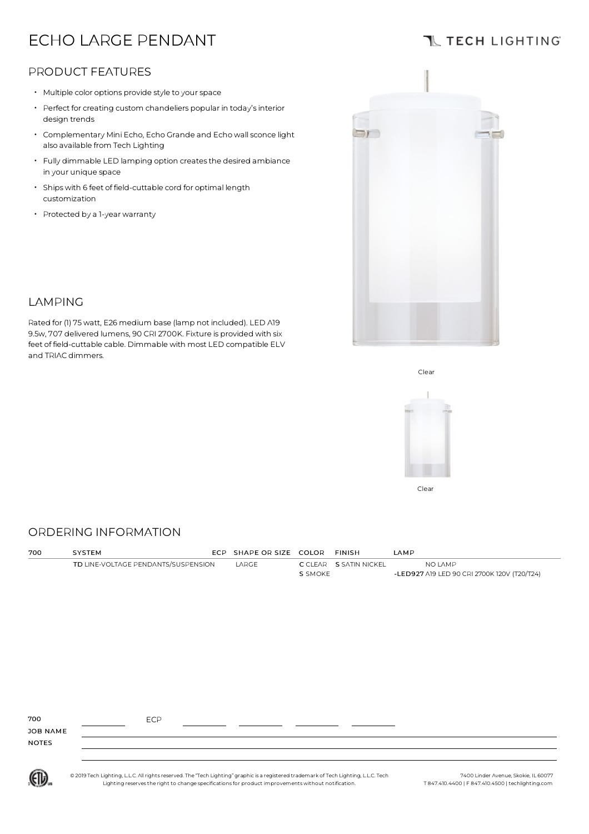# ECHO LARGE PENDANT

# **TL TECH LIGHTING**

## PRODUCT FEATURES

- Multiple color options provide style to your space
- Perfect for creating custom chandeliers popular in today's interior design trends
- Complementary Mini Echo, Echo Grande and Echo wallsconce light also available from Tech Lighting
- Fully dimmable LED lamping option createsthe desired ambiance in your unique space
- Shipswith 6 feet of field-cuttable cord for optimal length customization

Rated for (1) 75watt, E26 medium base (lamp not included). LED A19 9.5w, 707 delivered lumens, 90 CRI 2700K. Fixture is provided with six feet of field-cuttable cable. Dimmable with most LED compatible ELV

• Protected by <sup>a</sup> 1-year warranty

LAMPING

and TRIAC dimmers.



#### Clear



#### ORDERING INFORMATION

| 700          | SYSTEM                              | ECP SHAPE OR SIZE COLOR |         | <b>FINISH</b>          | LAMP                                        |
|--------------|-------------------------------------|-------------------------|---------|------------------------|---------------------------------------------|
|              | TD LINE-VOLTAGE PENDANTS/SUSPENSION | LARGE                   |         | C CLEAR S SATIN NICKEL | NO LAMP                                     |
|              |                                     |                         | S SMOKE |                        | -LED927 A19 LED 90 CRI 2700K 120V (T20/T24) |
|              |                                     |                         |         |                        |                                             |
|              |                                     |                         |         |                        |                                             |
|              |                                     |                         |         |                        |                                             |
|              |                                     |                         |         |                        |                                             |
|              |                                     |                         |         |                        |                                             |
|              |                                     |                         |         |                        |                                             |
|              |                                     |                         |         |                        |                                             |
|              |                                     |                         |         |                        |                                             |
|              |                                     |                         |         |                        |                                             |
|              |                                     |                         |         |                        |                                             |
|              |                                     |                         |         |                        |                                             |
|              |                                     |                         |         |                        |                                             |
|              |                                     |                         |         |                        |                                             |
| 700          | <b>ECP</b>                          |                         |         |                        |                                             |
| JOB NAME     |                                     |                         |         |                        |                                             |
| <b>NOTES</b> |                                     |                         |         |                        |                                             |
|              |                                     |                         |         |                        |                                             |
|              |                                     |                         |         |                        |                                             |

(ETL)

© 2019 Tech Lighting, L.L.C. All rightsreserved. The "Tech Lighting" graphic is a registered trademark of Tech Lighting, L.L.C. Tech Lighting reservesthe right to change specificationsfor product improvementswithout notification.

7400 Linder Avenue, Skokie, IL 60077 T 847.410.4400 | F 847.410.4500 | techlighting.com